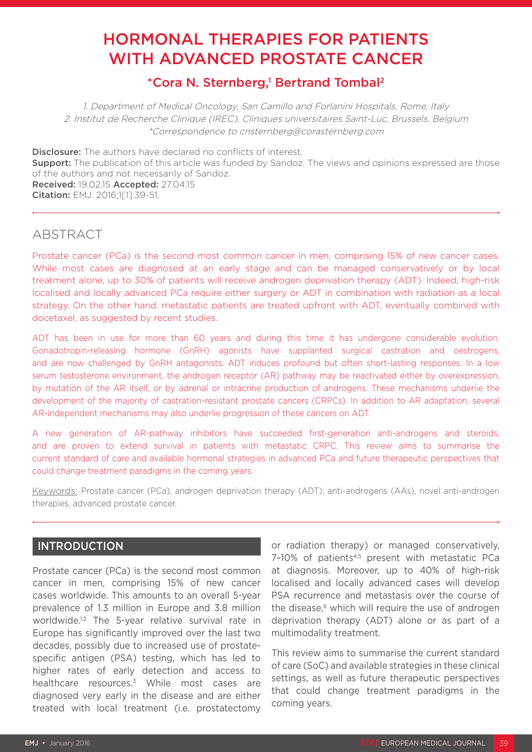# HORMONAL THERAPIES FOR PATIENTS WITH ADVANCED PROSTATE CANCER

# \*Cora N. Sternberg,<sup>1</sup> Bertrand Tombal<sup>2</sup>

1. Department of Medical Oncology, San Camillo and Forlanini Hospitals, Rome, Italy 2. Institut de Recherche Clinique (IREC), Cliniques universitaires Saint-Luc, Brussels, Belgium \*Correspondence to cnsternberg@corasternberg.com

**Disclosure:** The authors have declared no conflicts of interest. **Support:** The publication of this article was funded by Sandoz. The views and opinions expressed are those of the authors and not necessarily of Sandoz. Received: 19.02.15 Accepted: 27.04.15 Citation: EMJ. 2016;1[1]:39-51.

## **ABSTRACT**

Prostate cancer (PCa) is the second most common cancer in men, comprising 15% of new cancer cases. While most cases are diagnosed at an early stage and can be managed conservatively or by local treatment alone, up to 30% of patients will receive androgen deprivation therapy (ADT). Indeed, high-risk localised and locally advanced PCa require either surgery or ADT in combination with radiation as a local strategy. On the other hand, metastatic patients are treated upfront with ADT, eventually combined with docetaxel, as suggested by recent studies.

ADT has been in use for more than 60 years and during this time it has undergone considerable evolution. Gonadotropin-releasing hormone (GnRH) agonists have supplanted surgical castration and oestrogens, and are now challenged by GnRH antagonists. ADT induces profound but often short-lasting responses. In a low serum testosterone environment, the androgen receptor (AR) pathway may be reactivated either by overexpression, by mutation of the AR itself, or by adrenal or intracrine production of androgens. These mechanisms underlie the development of the majority of castration-resistant prostate cancers (CRPCs). In addition to AR adaptation, several AR-independent mechanisms may also underlie progression of these cancers on ADT.

A new generation of AR-pathway inhibitors have succeeded first-generation anti-androgens and steroids, and are proven to extend survival in patients with metastatic CRPC. This review aims to summarise the current standard of care and available hormonal strategies in advanced PCa and future therapeutic perspectives that could change treatment paradigms in the coming years.

Keywords: Prostate cancer (PCa), androgen deprivation therapy (ADT), anti-androgens (AAs), novel anti-androgen therapies, advanced prostate cancer.

### INTRODUCTION

Prostate cancer (PCa) is the second most common cancer in men, comprising 15% of new cancer cases worldwide. This amounts to an overall 5-year prevalence of 1.3 million in Europe and 3.8 million worldwide.<sup>1,2</sup> The 5-year relative survival rate in Europe has significantly improved over the last two decades, possibly due to increased use of prostatespecific antigen (PSA) testing, which has led to higher rates of early detection and access to healthcare resources.<sup>3</sup> While most cases are diagnosed very early in the disease and are either treated with local treatment (i.e. prostatectomy

or radiation therapy) or managed conservatively, 7-10% of patients<sup>4,5</sup> present with metastatic PCa at diagnosis. Moreover, up to 40% of high-risk localised and locally advanced cases will develop PSA recurrence and metastasis over the course of the disease,<sup>6</sup> which will require the use of androgen deprivation therapy (ADT) alone or as part of a multimodality treatment.

This review aims to summarise the current standard of care (SoC) and available strategies in these clinical settings, as well as future therapeutic perspectives that could change treatment paradigms in the coming years.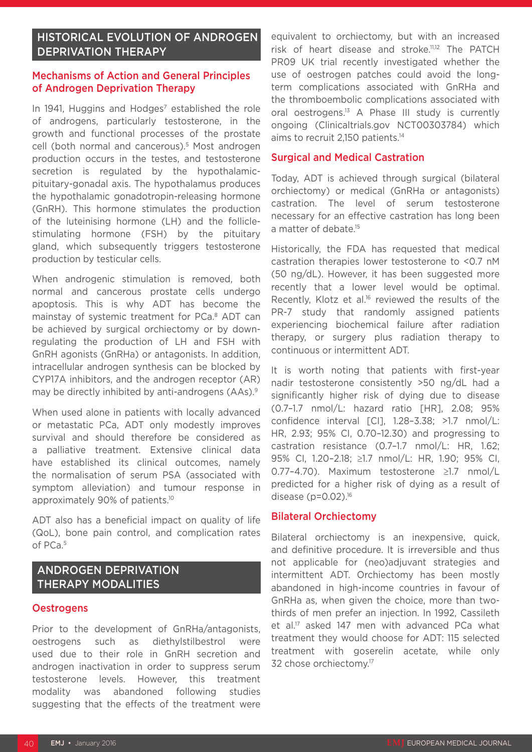### HISTORICAL EVOLUTION OF ANDROGEN DEPRIVATION THERAPY

#### Mechanisms of Action and General Principles of Androgen Deprivation Therapy

In 1941, Huggins and Hodges<sup>7</sup> established the role of androgens, particularly testosterone, in the growth and functional processes of the prostate cell (both normal and cancerous).<sup>5</sup> Most androgen production occurs in the testes, and testosterone secretion is regulated by the hypothalamicpituitary-gonadal axis. The hypothalamus produces the hypothalamic gonadotropin-releasing hormone (GnRH). This hormone stimulates the production of the luteinising hormone (LH) and the folliclestimulating hormone (FSH) by the pituitary gland, which subsequently triggers testosterone production by testicular cells.

When androgenic stimulation is removed, both normal and cancerous prostate cells undergo apoptosis. This is why ADT has become the mainstay of systemic treatment for PCa.<sup>8</sup> ADT can be achieved by surgical orchiectomy or by downregulating the production of LH and FSH with GnRH agonists (GnRHa) or antagonists. In addition, intracellular androgen synthesis can be blocked by CYP17A inhibitors, and the androgen receptor (AR) may be directly inhibited by anti-androgens (AAs).<sup>9</sup>

When used alone in patients with locally advanced or metastatic PCa, ADT only modestly improves survival and should therefore be considered as a palliative treatment. Extensive clinical data have established its clinical outcomes, namely the normalisation of serum PSA (associated with symptom alleviation) and tumour response in approximately 90% of patients.10

ADT also has a beneficial impact on quality of life (QoL), bone pain control, and complication rates of PCa.5

### ANDROGEN DEPRIVATION THERAPY MODALITIES

#### **Oestrogens**

Prior to the development of GnRHa/antagonists, oestrogens such as diethylstilbestrol were used due to their role in GnRH secretion and androgen inactivation in order to suppress serum testosterone levels. However, this treatment modality was abandoned following studies suggesting that the effects of the treatment were

equivalent to orchiectomy, but with an increased risk of heart disease and stroke.11,12 The PATCH PR09 UK trial recently investigated whether the use of oestrogen patches could avoid the longterm complications associated with GnRHa and the thromboembolic complications associated with oral oestrogens.<sup>13</sup> A Phase III study is currently ongoing (Clinicaltrials.gov NCT00303784) which aims to recruit 2,150 patients.14

#### Surgical and Medical Castration

Today, ADT is achieved through surgical (bilateral orchiectomy) or medical (GnRHa or antagonists) castration. The level of serum testosterone necessary for an effective castration has long been a matter of debate.<sup>15</sup>

Historically, the FDA has requested that medical castration therapies lower testosterone to <0.7 nM (50 ng/dL). However, it has been suggested more recently that a lower level would be optimal. Recently, Klotz et al.<sup>16</sup> reviewed the results of the PR-7 study that randomly assigned patients experiencing biochemical failure after radiation therapy, or surgery plus radiation therapy to continuous or intermittent ADT.

It is worth noting that patients with first-year nadir testosterone consistently >50 ng/dL had a significantly higher risk of dying due to disease (0.7–1.7 nmol/L: hazard ratio [HR], 2.08; 95% confidence interval [CI], 1.28–3.38; >1.7 nmol/L: HR, 2.93; 95% CI, 0.70–12.30) and progressing to castration resistance (0.7–1.7 nmol/L: HR, 1.62; 95% CI, 1.20–2.18; ≥1.7 nmol/L: HR, 1.90; 95% CI, 0.77–4.70). Maximum testosterone ≥1.7 nmol/L predicted for a higher risk of dying as a result of disease (p=0.02).16

#### Bilateral Orchiectomy

Bilateral orchiectomy is an inexpensive, quick, and definitive procedure. It is irreversible and thus not applicable for (neo)adjuvant strategies and intermittent ADT. Orchiectomy has been mostly abandoned in high-income countries in favour of GnRHa as, when given the choice, more than twothirds of men prefer an injection. In 1992, Cassileth et al.<sup>17</sup> asked 147 men with advanced PCa what treatment they would choose for ADT: 115 selected treatment with goserelin acetate, while only 32 chose orchiectomy.<sup>17</sup>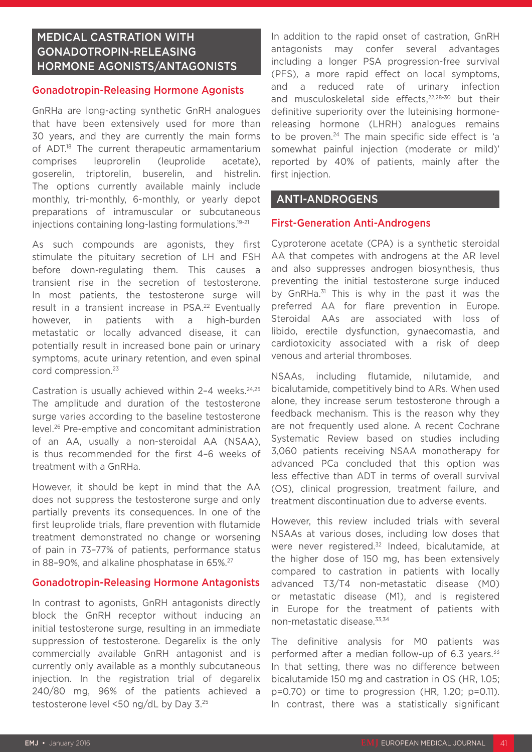### MEDICAL CASTRATION WITH GONADOTROPIN-RELEASING HORMONE AGONISTS/ANTAGONISTS

#### Gonadotropin-Releasing Hormone Agonists

GnRHa are long-acting synthetic GnRH analogues that have been extensively used for more than 30 years, and they are currently the main forms of ADT.<sup>18</sup> The current therapeutic armamentarium comprises leuprorelin (leuprolide acetate), goserelin, triptorelin, buserelin, and histrelin. The options currently available mainly include monthly, tri-monthly, 6-monthly, or yearly depot preparations of intramuscular or subcutaneous injections containing long-lasting formulations.<sup>19-21</sup>

As such compounds are agonists, they first stimulate the pituitary secretion of LH and FSH before down-regulating them. This causes a transient rise in the secretion of testosterone. In most patients, the testosterone surge will result in a transient increase in PSA.<sup>22</sup> Eventually however, in patients with a high-burden metastatic or locally advanced disease, it can potentially result in increased bone pain or urinary symptoms, acute urinary retention, and even spinal cord compression.23

Castration is usually achieved within  $2-4$  weeks.<sup>24,25</sup> The amplitude and duration of the testosterone surge varies according to the baseline testosterone level.26 Pre-emptive and concomitant administration of an AA, usually a non-steroidal AA (NSAA), is thus recommended for the first 4–6 weeks of treatment with a GnRHa.

However, it should be kept in mind that the AA does not suppress the testosterone surge and only partially prevents its consequences. In one of the first leuprolide trials, flare prevention with flutamide treatment demonstrated no change or worsening of pain in 73–77% of patients, performance status in 88-90%, and alkaline phosphatase in 65%.<sup>27</sup>

#### Gonadotropin-Releasing Hormone Antagonists

In contrast to agonists, GnRH antagonists directly block the GnRH receptor without inducing an initial testosterone surge, resulting in an immediate suppression of testosterone. Degarelix is the only commercially available GnRH antagonist and is currently only available as a monthly subcutaneous injection. In the registration trial of degarelix 240/80 mg, 96% of the patients achieved a testosterone level <50 ng/dL by Day 3.25

In addition to the rapid onset of castration, GnRH antagonists may confer several advantages including a longer PSA progression-free survival (PFS), a more rapid effect on local symptoms, and a reduced rate of urinary infection and musculoskeletal side effects,<sup>22,28-30</sup> but their definitive superiority over the luteinising hormonereleasing hormone (LHRH) analogues remains to be proven.<sup>24</sup> The main specific side effect is 'a somewhat painful injection (moderate or mild)' reported by 40% of patients, mainly after the first injection.

### ANTI-ANDROGENS

#### First-Generation Anti-Androgens

Cyproterone acetate (CPA) is a synthetic steroidal AA that competes with androgens at the AR level and also suppresses androgen biosynthesis, thus preventing the initial testosterone surge induced by GnRHa.<sup>31</sup> This is why in the past it was the preferred AA for flare prevention in Europe. Steroidal AAs are associated with loss of libido, erectile dysfunction, gynaecomastia, and cardiotoxicity associated with a risk of deep venous and arterial thromboses.

NSAAs, including flutamide, nilutamide, and bicalutamide, competitively bind to ARs. When used alone, they increase serum testosterone through a feedback mechanism. This is the reason why they are not frequently used alone. A recent Cochrane Systematic Review based on studies including 3,060 patients receiving NSAA monotherapy for advanced PCa concluded that this option was less effective than ADT in terms of overall survival (OS), clinical progression, treatment failure, and treatment discontinuation due to adverse events.

However, this review included trials with several NSAAs at various doses, including low doses that were never registered.<sup>32</sup> Indeed, bicalutamide, at the higher dose of 150 mg, has been extensively compared to castration in patients with locally advanced T3/T4 non-metastatic disease (M0) or metastatic disease (M1), and is registered in Europe for the treatment of patients with non-metastatic disease.33,34

The definitive analysis for M0 patients was performed after a median follow-up of 6.3 years.<sup>33</sup> In that setting, there was no difference between bicalutamide 150 mg and castration in OS (HR, 1.05; p=0.70) or time to progression (HR, 1.20; p=0.11). In contrast, there was a statistically significant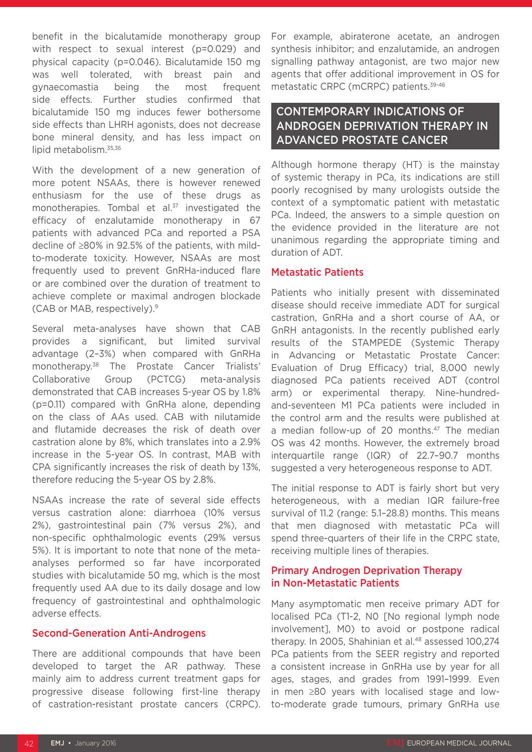benefit in the bicalutamide monotherapy group with respect to sexual interest (p=0.029) and physical capacity (p=0.046). Bicalutamide 150 mg was well tolerated, with breast pain and gynaecomastia being the most frequent side effects. Further studies confirmed that bicalutamide 150 mg induces fewer bothersome side effects than LHRH agonists, does not decrease bone mineral density, and has less impact on lipid metabolism.<sup>35,36</sup>

With the development of a new generation of more potent NSAAs, there is however renewed enthusiasm for the use of these drugs as monotherapies. Tombal et al.<sup>37</sup> investigated the efficacy of enzalutamide monotherapy in 67 patients with advanced PCa and reported a PSA decline of ≥80% in 92.5% of the patients, with mildto-moderate toxicity. However, NSAAs are most frequently used to prevent GnRHa-induced flare or are combined over the duration of treatment to achieve complete or maximal androgen blockade (CAB or MAB, respectively).9

Several meta-analyses have shown that CAB provides a significant, but limited survival advantage (2–3%) when compared with GnRHa monotherapy.38 The Prostate Cancer Trialists' Collaborative Group (PCTCG) meta-analysis demonstrated that CAB increases 5-year OS by 1.8% (p=0.11) compared with GnRHa alone, depending on the class of AAs used. CAB with nilutamide and flutamide decreases the risk of death over castration alone by 8%, which translates into a 2.9% increase in the 5-year OS. In contrast, MAB with CPA significantly increases the risk of death by 13%, therefore reducing the 5-year OS by 2.8%.

NSAAs increase the rate of several side effects versus castration alone: diarrhoea (10% versus 2%), gastrointestinal pain (7% versus 2%), and non-specific ophthalmologic events (29% versus 5%). It is important to note that none of the metaanalyses performed so far have incorporated studies with bicalutamide 50 mg, which is the most frequently used AA due to its daily dosage and low frequency of gastrointestinal and ophthalmologic adverse effects.

#### Second-Generation Anti-Androgens

There are additional compounds that have been developed to target the AR pathway. These mainly aim to address current treatment gaps for progressive disease following first-line therapy of castration-resistant prostate cancers (CRPC). For example, abiraterone acetate, an androgen synthesis inhibitor; and enzalutamide, an androgen signalling pathway antagonist, are two major new agents that offer additional improvement in OS for metastatic CRPC (mCRPC) patients.39-46

### CONTEMPORARY INDICATIONS OF ANDROGEN DEPRIVATION THERAPY IN ADVANCED PROSTATE CANCER

Although hormone therapy (HT) is the mainstay of systemic therapy in PCa, its indications are still poorly recognised by many urologists outside the context of a symptomatic patient with metastatic PCa. Indeed, the answers to a simple question on the evidence provided in the literature are not unanimous regarding the appropriate timing and duration of ADT.

#### Metastatic Patients

Patients who initially present with disseminated disease should receive immediate ADT for surgical castration, GnRHa and a short course of AA, or GnRH antagonists. In the recently published early results of the STAMPEDE (Systemic Therapy in Advancing or Metastatic Prostate Cancer: Evaluation of Drug Efficacy) trial, 8,000 newly diagnosed PCa patients received ADT (control arm) or experimental therapy. Nine-hundredand-seventeen M1 PCa patients were included in the control arm and the results were published at a median follow-up of 20 months.<sup>47</sup> The median OS was 42 months. However, the extremely broad interquartile range (IQR) of 22.7–90.7 months suggested a very heterogeneous response to ADT.

The initial response to ADT is fairly short but very heterogeneous, with a median IQR failure-free survival of 11.2 (range: 5.1–28.8) months. This means that men diagnosed with metastatic PCa will spend three-quarters of their life in the CRPC state, receiving multiple lines of therapies.

### Primary Androgen Deprivation Therapy in Non-Metastatic Patients

Many asymptomatic men receive primary ADT for localised PCa (T1-2, N0 [No regional lymph node involvement], M0) to avoid or postpone radical therapy. In 2005, Shahinian et al.<sup>48</sup> assessed 100,274 PCa patients from the SEER registry and reported a consistent increase in GnRHa use by year for all ages, stages, and grades from 1991–1999. Even in men ≥80 years with localised stage and lowto-moderate grade tumours, primary GnRHa use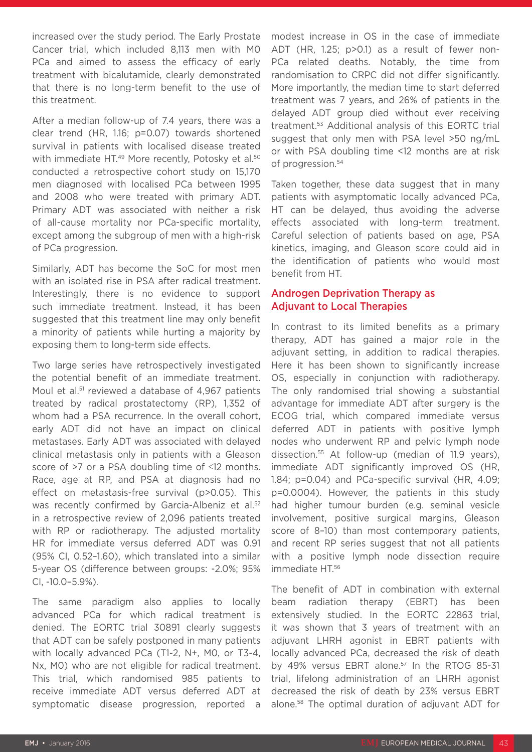increased over the study period. The Early Prostate Cancer trial, which included 8,113 men with M0 PCa and aimed to assess the efficacy of early treatment with bicalutamide, clearly demonstrated that there is no long-term benefit to the use of this treatment.

After a median follow-up of 7.4 years, there was a clear trend (HR, 1.16; p=0.07) towards shortened survival in patients with localised disease treated with immediate HT.<sup>49</sup> More recently, Potosky et al.<sup>50</sup> conducted a retrospective cohort study on 15,170 men diagnosed with localised PCa between 1995 and 2008 who were treated with primary ADT. Primary ADT was associated with neither a risk of all-cause mortality nor PCa-specific mortality, except among the subgroup of men with a high-risk of PCa progression.

Similarly, ADT has become the SoC for most men with an isolated rise in PSA after radical treatment. Interestingly, there is no evidence to support such immediate treatment. Instead, it has been suggested that this treatment line may only benefit a minority of patients while hurting a majority by exposing them to long-term side effects.

Two large series have retrospectively investigated the potential benefit of an immediate treatment. Moul et al.<sup>51</sup> reviewed a database of 4,967 patients treated by radical prostatectomy (RP), 1,352 of whom had a PSA recurrence. In the overall cohort, early ADT did not have an impact on clinical metastases. Early ADT was associated with delayed clinical metastasis only in patients with a Gleason score of >7 or a PSA doubling time of ≤12 months. Race, age at RP, and PSA at diagnosis had no effect on metastasis-free survival (p>0.05). This was recently confirmed by Garcia-Albeniz et al.<sup>52</sup> in a retrospective review of 2,096 patients treated with RP or radiotherapy. The adjusted mortality HR for immediate versus deferred ADT was 0.91 (95% CI, 0.52–1.60), which translated into a similar 5-year OS (difference between groups: -2.0%; 95% CI, -10.0–5.9%).

The same paradigm also applies to locally advanced PCa for which radical treatment is denied. The EORTC trial 30891 clearly suggests that ADT can be safely postponed in many patients with locally advanced PCa (T1-2, N+, M0, or T3-4, Nx, M0) who are not eligible for radical treatment. This trial, which randomised 985 patients to receive immediate ADT versus deferred ADT at symptomatic disease progression, reported a

modest increase in OS in the case of immediate ADT (HR, 1.25; p>0.1) as a result of fewer non-PCa related deaths. Notably, the time from randomisation to CRPC did not differ significantly. More importantly, the median time to start deferred treatment was 7 years, and 26% of patients in the delayed ADT group died without ever receiving treatment.53 Additional analysis of this EORTC trial suggest that only men with PSA level >50 ng/mL or with PSA doubling time <12 months are at risk of progression.<sup>54</sup>

Taken together, these data suggest that in many patients with asymptomatic locally advanced PCa, HT can be delayed, thus avoiding the adverse effects associated with long-term treatment. Careful selection of patients based on age, PSA kinetics, imaging, and Gleason score could aid in the identification of patients who would most benefit from HT.

### Androgen Deprivation Therapy as Adjuvant to Local Therapies

In contrast to its limited benefits as a primary therapy, ADT has gained a major role in the adjuvant setting, in addition to radical therapies. Here it has been shown to significantly increase OS, especially in conjunction with radiotherapy. The only randomised trial showing a substantial advantage for immediate ADT after surgery is the ECOG trial, which compared immediate versus deferred ADT in patients with positive lymph nodes who underwent RP and pelvic lymph node dissection.55 At follow-up (median of 11.9 years), immediate ADT significantly improved OS (HR, 1.84; p=0.04) and PCa-specific survival (HR, 4.09; p=0.0004). However, the patients in this study had higher tumour burden (e.g. seminal vesicle involvement, positive surgical margins, Gleason score of 8–10) than most contemporary patients, and recent RP series suggest that not all patients with a positive lymph node dissection require immediate HT.56

The benefit of ADT in combination with external beam radiation therapy (EBRT) has been extensively studied. In the EORTC 22863 trial, it was shown that 3 years of treatment with an adjuvant LHRH agonist in EBRT patients with locally advanced PCa, decreased the risk of death by 49% versus EBRT alone.<sup>57</sup> In the RTOG 85-31 trial, lifelong administration of an LHRH agonist decreased the risk of death by 23% versus EBRT alone.58 The optimal duration of adjuvant ADT for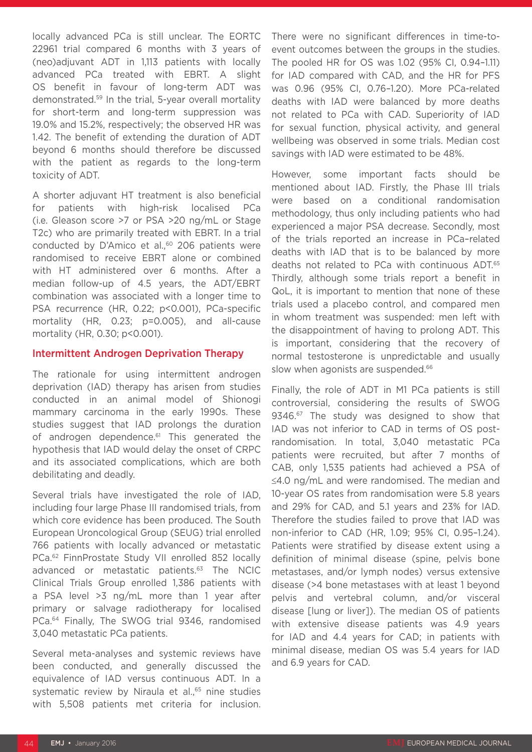locally advanced PCa is still unclear. The EORTC 22961 trial compared 6 months with 3 years of (neo)adjuvant ADT in 1,113 patients with locally advanced PCa treated with EBRT. A slight OS benefit in favour of long-term ADT was demonstrated.59 In the trial, 5-year overall mortality for short-term and long-term suppression was 19.0% and 15.2%, respectively; the observed HR was 1.42. The benefit of extending the duration of ADT beyond 6 months should therefore be discussed with the patient as regards to the long-term toxicity of ADT.

A shorter adjuvant HT treatment is also beneficial for patients with high-risk localised PCa (i.e. Gleason score >7 or PSA >20 ng/mL or Stage T2c) who are primarily treated with EBRT. In a trial conducted by D'Amico et al.,<sup>60</sup> 206 patients were randomised to receive EBRT alone or combined with HT administered over 6 months. After a median follow-up of 4.5 years, the ADT/EBRT combination was associated with a longer time to PSA recurrence (HR, 0.22; p<0.001), PCa-specific mortality (HR, 0.23; p=0.005), and all-cause mortality (HR, 0.30; p<0.001).

#### Intermittent Androgen Deprivation Therapy

The rationale for using intermittent androgen deprivation (IAD) therapy has arisen from studies conducted in an animal model of Shionogi mammary carcinoma in the early 1990s. These studies suggest that IAD prolongs the duration of androgen dependence.<sup>61</sup> This generated the hypothesis that IAD would delay the onset of CRPC and its associated complications, which are both debilitating and deadly.

Several trials have investigated the role of IAD, including four large Phase III randomised trials, from which core evidence has been produced. The South European Uroncological Group (SEUG) trial enrolled 766 patients with locally advanced or metastatic PCa.62 FinnProstate Study VII enrolled 852 locally advanced or metastatic patients.<sup>63</sup> The NCIC Clinical Trials Group enrolled 1,386 patients with a PSA level >3 ng/mL more than 1 year after primary or salvage radiotherapy for localised PCa.64 Finally, The SWOG trial 9346, randomised 3,040 metastatic PCa patients.

Several meta-analyses and systemic reviews have been conducted, and generally discussed the equivalence of IAD versus continuous ADT. In a systematic review by Niraula et al.,<sup>65</sup> nine studies with 5,508 patients met criteria for inclusion.

There were no significant differences in time-toevent outcomes between the groups in the studies. The pooled HR for OS was 1.02 (95% CI, 0.94–1.11) for IAD compared with CAD, and the HR for PFS was 0.96 (95% CI, 0.76–1.20). More PCa-related deaths with IAD were balanced by more deaths not related to PCa with CAD. Superiority of IAD for sexual function, physical activity, and general wellbeing was observed in some trials. Median cost savings with IAD were estimated to be 48%.

However, some important facts should be mentioned about IAD. Firstly, the Phase III trials were based on a conditional randomisation methodology, thus only including patients who had experienced a major PSA decrease. Secondly, most of the trials reported an increase in PCa–related deaths with IAD that is to be balanced by more deaths not related to PCa with continuous ADT.65 Thirdly, although some trials report a benefit in QoL, it is important to mention that none of these trials used a placebo control, and compared men in whom treatment was suspended: men left with the disappointment of having to prolong ADT. This is important, considering that the recovery of normal testosterone is unpredictable and usually slow when agonists are suspended.<sup>66</sup>

Finally, the role of ADT in M1 PCa patients is still controversial, considering the results of SWOG 9346.<sup>67</sup> The study was designed to show that IAD was not inferior to CAD in terms of OS postrandomisation. In total, 3,040 metastatic PCa patients were recruited, but after 7 months of CAB, only 1,535 patients had achieved a PSA of ≤4.0 ng/mL and were randomised. The median and 10-year OS rates from randomisation were 5.8 years and 29% for CAD, and 5.1 years and 23% for IAD. Therefore the studies failed to prove that IAD was non-inferior to CAD (HR, 1.09; 95% CI, 0.95–1.24). Patients were stratified by disease extent using a definition of minimal disease (spine, pelvis bone metastases, and/or lymph nodes) versus extensive disease (>4 bone metastases with at least 1 beyond pelvis and vertebral column, and/or visceral disease [lung or liver]). The median OS of patients with extensive disease patients was 4.9 years for IAD and 4.4 years for CAD; in patients with minimal disease, median OS was 5.4 years for IAD and 6.9 years for CAD.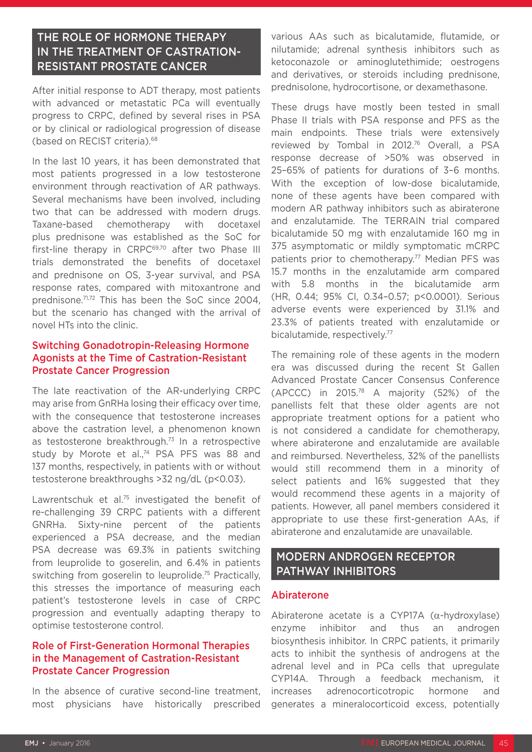### THE ROLE OF HORMONE THERAPY IN THE TREATMENT OF CASTRATION-RESISTANT PROSTATE CANCER

After initial response to ADT therapy, most patients with advanced or metastatic PCa will eventually progress to CRPC, defined by several rises in PSA or by clinical or radiological progression of disease (based on RECIST criteria).68

In the last 10 years, it has been demonstrated that most patients progressed in a low testosterone environment through reactivation of AR pathways. Several mechanisms have been involved, including two that can be addressed with modern drugs. Taxane-based chemotherapy with docetaxel plus prednisone was established as the SoC for first-line therapy in CRPC<sup>69,70</sup> after two Phase III trials demonstrated the benefits of docetaxel and prednisone on OS, 3-year survival, and PSA response rates, compared with mitoxantrone and prednisone.71,72 This has been the SoC since 2004, but the scenario has changed with the arrival of novel HTs into the clinic.

### Switching Gonadotropin-Releasing Hormone Agonists at the Time of Castration-Resistant Prostate Cancer Progression

The late reactivation of the AR-underlying CRPC may arise from GnRHa losing their efficacy over time, with the consequence that testosterone increases above the castration level, a phenomenon known as testosterone breakthrough.73 In a retrospective study by Morote et al.,<sup>74</sup> PSA PFS was 88 and 137 months, respectively, in patients with or without testosterone breakthroughs >32 ng/dL (p<0.03).

Lawrentschuk et al.<sup>75</sup> investigated the benefit of re-challenging 39 CRPC patients with a different GNRHa. Sixty-nine percent of the patients experienced a PSA decrease, and the median PSA decrease was 69.3% in patients switching from leuprolide to goserelin, and 6.4% in patients switching from goserelin to leuprolide.<sup>75</sup> Practically, this stresses the importance of measuring each patient's testosterone levels in case of CRPC progression and eventually adapting therapy to optimise testosterone control.

#### Role of First-Generation Hormonal Therapies in the Management of Castration-Resistant Prostate Cancer Progression

In the absence of curative second-line treatment, most physicians have historically prescribed various AAs such as bicalutamide, flutamide, or nilutamide; adrenal synthesis inhibitors such as ketoconazole or aminoglutethimide; oestrogens and derivatives, or steroids including prednisone, prednisolone, hydrocortisone, or dexamethasone.

These drugs have mostly been tested in small Phase II trials with PSA response and PFS as the main endpoints. These trials were extensively reviewed by Tombal in 2012.76 Overall, a PSA response decrease of >50% was observed in 25–65% of patients for durations of 3–6 months. With the exception of low-dose bicalutamide, none of these agents have been compared with modern AR pathway inhibitors such as abiraterone and enzalutamide. The TERRAIN trial compared bicalutamide 50 mg with enzalutamide 160 mg in 375 asymptomatic or mildly symptomatic mCRPC patients prior to chemotherapy.<sup>77</sup> Median PFS was 15.7 months in the enzalutamide arm compared with 5.8 months in the bicalutamide arm (HR, 0.44; 95% CI, 0.34–0.57; p<0.0001). Serious adverse events were experienced by 31.1% and 23.3% of patients treated with enzalutamide or bicalutamide, respectively.77

The remaining role of these agents in the modern era was discussed during the recent St Gallen Advanced Prostate Cancer Consensus Conference (APCCC) in 2015.78 A majority (52%) of the panellists felt that these older agents are not appropriate treatment options for a patient who is not considered a candidate for chemotherapy, where abiraterone and enzalutamide are available and reimbursed. Nevertheless, 32% of the panellists would still recommend them in a minority of select patients and 16% suggested that they would recommend these agents in a majority of patients. However, all panel members considered it appropriate to use these first-generation AAs, if abiraterone and enzalutamide are unavailable.

### MODERN ANDROGEN RECEPTOR PATHWAY INHIBITORS

#### Abiraterone

Abiraterone acetate is a CYP17A (α-hydroxylase) enzyme inhibitor and thus an androgen biosynthesis inhibitor. In CRPC patients, it primarily acts to inhibit the synthesis of androgens at the adrenal level and in PCa cells that upregulate CYP14A. Through a feedback mechanism, it increases adrenocorticotropic hormone and generates a mineralocorticoid excess, potentially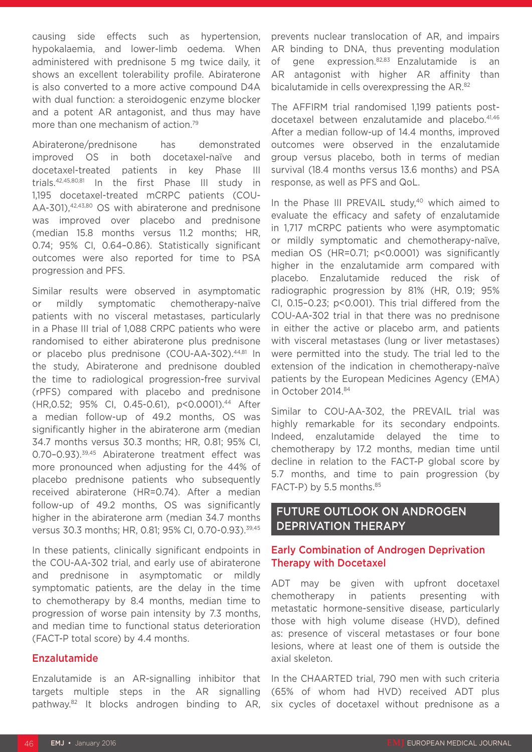causing side effects such as hypertension, hypokalaemia, and lower-limb oedema. When administered with prednisone 5 mg twice daily, it shows an excellent tolerability profile. Abiraterone is also converted to a more active compound D4A with dual function: a steroidogenic enzyme blocker and a potent AR antagonist, and thus may have more than one mechanism of action.<sup>79</sup>

Abiraterone/prednisone has demonstrated improved OS in both docetaxel-naïve and docetaxel-treated patients in key Phase III trials.42,45,80,81 In the first Phase III study in 1,195 docetaxel-treated mCRPC patients (COU-AA-301),42,43,80 OS with abiraterone and prednisone was improved over placebo and prednisone (median 15.8 months versus 11.2 months; HR, 0.74; 95% CI, 0.64–0.86). Statistically significant outcomes were also reported for time to PSA progression and PFS.

Similar results were observed in asymptomatic or mildly symptomatic chemotherapy-naïve patients with no visceral metastases, particularly in a Phase III trial of 1,088 CRPC patients who were randomised to either abiraterone plus prednisone or placebo plus prednisone (COU-AA-302).44,81 In the study, Abiraterone and prednisone doubled the time to radiological progression-free survival (rPFS) compared with placebo and prednisone (HR,0.52; 95% CI, 0.45-0.61), p<0.0001).44 After a median follow-up of 49.2 months, OS was significantly higher in the abiraterone arm (median 34.7 months versus 30.3 months; HR, 0.81; 95% CI, 0.70–0.93).39,45 Abiraterone treatment effect was more pronounced when adjusting for the 44% of placebo prednisone patients who subsequently received abiraterone (HR=0.74). After a median follow-up of 49.2 months, OS was significantly higher in the abiraterone arm (median 34.7 months versus 30.3 months; HR, 0.81; 95% CI, 0.70-0.93).39,45

In these patients, clinically significant endpoints in the COU-AA-302 trial, and early use of abiraterone and prednisone in asymptomatic or mildly symptomatic patients, are the delay in the time to chemotherapy by 8.4 months, median time to progression of worse pain intensity by 7.3 months, and median time to functional status deterioration (FACT-P total score) by 4.4 months.

#### Enzalutamide

Enzalutamide is an AR-signalling inhibitor that targets multiple steps in the AR signalling pathway.82 It blocks androgen binding to AR, prevents nuclear translocation of AR, and impairs AR binding to DNA, thus preventing modulation of gene expression.<sup>82,83</sup> Enzalutamide is an AR antagonist with higher AR affinity than bicalutamide in cells overexpressing the AR.<sup>82</sup>

The AFFIRM trial randomised 1,199 patients postdocetaxel between enzalutamide and placebo.41,46 After a median follow-up of 14.4 months, improved outcomes were observed in the enzalutamide group versus placebo, both in terms of median survival (18.4 months versus 13.6 months) and PSA response, as well as PFS and QoL.

In the Phase III PREVAIL study, $40$  which aimed to evaluate the efficacy and safety of enzalutamide in 1,717 mCRPC patients who were asymptomatic or mildly symptomatic and chemotherapy-naïve, median OS (HR=0.71; p<0.0001) was significantly higher in the enzalutamide arm compared with placebo. Enzalutamide reduced the risk of radiographic progression by 81% (HR, 0.19; 95% CI, 0.15–0.23; p<0.001). This trial differed from the COU-AA-302 trial in that there was no prednisone in either the active or placebo arm, and patients with visceral metastases (lung or liver metastases) were permitted into the study. The trial led to the extension of the indication in chemotherapy-naïve patients by the European Medicines Agency (EMA) in October 2014.84

Similar to COU-AA-302, the PREVAIL trial was highly remarkable for its secondary endpoints. Indeed, enzalutamide delayed the time to chemotherapy by 17.2 months, median time until decline in relation to the FACT-P global score by 5.7 months, and time to pain progression (by FACT-P) by 5.5 months.<sup>85</sup>

### FUTURE OUTLOOK ON ANDROGEN DEPRIVATION THERAPY

### Early Combination of Androgen Deprivation Therapy with Docetaxel

ADT may be given with upfront docetaxel chemotherapy in patients presenting with metastatic hormone-sensitive disease, particularly those with high volume disease (HVD), defined as: presence of visceral metastases or four bone lesions, where at least one of them is outside the axial skeleton.

In the CHAARTED trial, 790 men with such criteria (65% of whom had HVD) received ADT plus six cycles of docetaxel without prednisone as a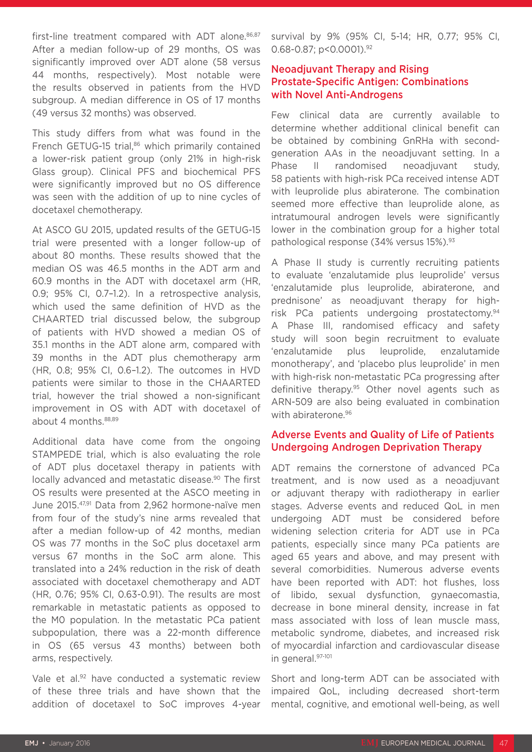first-line treatment compared with ADT alone.<sup>86,87</sup> After a median follow-up of 29 months, OS was significantly improved over ADT alone (58 versus 44 months, respectively). Most notable were the results observed in patients from the HVD subgroup. A median difference in OS of 17 months (49 versus 32 months) was observed.

This study differs from what was found in the French GETUG-15 trial,<sup>86</sup> which primarily contained a lower-risk patient group (only 21% in high-risk Glass group). Clinical PFS and biochemical PFS were significantly improved but no OS difference was seen with the addition of up to nine cycles of docetaxel chemotherapy.

At ASCO GU 2015, updated results of the GETUG-15 trial were presented with a longer follow-up of about 80 months. These results showed that the median OS was 46.5 months in the ADT arm and 60.9 months in the ADT with docetaxel arm (HR, 0.9; 95% CI, 0.7–1.2). In a retrospective analysis, which used the same definition of HVD as the CHAARTED trial discussed below, the subgroup of patients with HVD showed a median OS of 35.1 months in the ADT alone arm, compared with 39 months in the ADT plus chemotherapy arm (HR, 0.8; 95% CI, 0.6–1.2). The outcomes in HVD patients were similar to those in the CHAARTED trial, however the trial showed a non-significant improvement in OS with ADT with docetaxel of about 4 months.88,89

Additional data have come from the ongoing STAMPEDE trial, which is also evaluating the role of ADT plus docetaxel therapy in patients with locally advanced and metastatic disease.<sup>90</sup> The first OS results were presented at the ASCO meeting in June 2015.47,91 Data from 2,962 hormone-naïve men from four of the study's nine arms revealed that after a median follow-up of 42 months, median OS was 77 months in the SoC plus docetaxel arm versus 67 months in the SoC arm alone. This translated into a 24% reduction in the risk of death associated with docetaxel chemotherapy and ADT (HR, 0.76; 95% CI, 0.63-0.91). The results are most remarkable in metastatic patients as opposed to the M0 population. In the metastatic PCa patient subpopulation, there was a 22-month difference in OS (65 versus 43 months) between both arms, respectively.

Vale et al.<sup>92</sup> have conducted a systematic review of these three trials and have shown that the addition of docetaxel to SoC improves 4-year survival by 9% (95% CI, 5-14; HR, 0.77; 95% CI, 0.68-0.87; p<0.0001).<sup>92</sup>

### Neoadjuvant Therapy and Rising Prostate-Specific Antigen: Combinations with Novel Anti-Androgens

Few clinical data are currently available to determine whether additional clinical benefit can be obtained by combining GnRHa with secondgeneration AAs in the neoadjuvant setting. In a Phase II randomised neoadjuvant study, 58 patients with high-risk PCa received intense ADT with leuprolide plus abiraterone. The combination seemed more effective than leuprolide alone, as intratumoural androgen levels were significantly lower in the combination group for a higher total pathological response (34% versus 15%).<sup>93</sup>

A Phase II study is currently recruiting patients to evaluate 'enzalutamide plus leuprolide' versus 'enzalutamide plus leuprolide, abiraterone, and prednisone' as neoadjuvant therapy for highrisk PCa patients undergoing prostatectomy.94 A Phase III, randomised efficacy and safety study will soon begin recruitment to evaluate 'enzalutamide plus leuprolide, enzalutamide monotherapy', and 'placebo plus leuprolide' in men with high-risk non-metastatic PCa progressing after definitive therapy.95 Other novel agents such as ARN-509 are also being evaluated in combination with abiraterone.<sup>96</sup>

### Adverse Events and Quality of Life of Patients Undergoing Androgen Deprivation Therapy

ADT remains the cornerstone of advanced PCa treatment, and is now used as a neoadjuvant or adjuvant therapy with radiotherapy in earlier stages. Adverse events and reduced QoL in men undergoing ADT must be considered before widening selection criteria for ADT use in PCa patients, especially since many PCa patients are aged 65 years and above, and may present with several comorbidities. Numerous adverse events have been reported with ADT: hot flushes, loss of libido, sexual dysfunction, gynaecomastia, decrease in bone mineral density, increase in fat mass associated with loss of lean muscle mass, metabolic syndrome, diabetes, and increased risk of myocardial infarction and cardiovascular disease in general.97-101

Short and long-term ADT can be associated with impaired QoL, including decreased short-term mental, cognitive, and emotional well-being, as well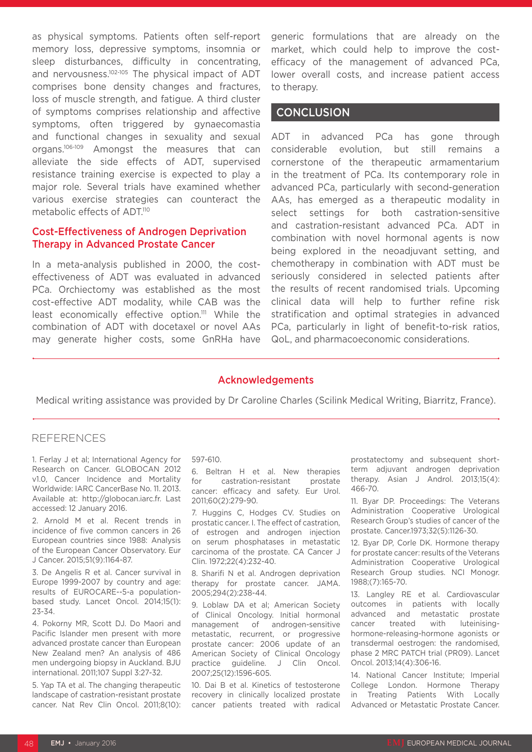as physical symptoms. Patients often self-report memory loss, depressive symptoms, insomnia or sleep disturbances, difficulty in concentrating, and nervousness.<sup>102-105</sup> The physical impact of ADT comprises bone density changes and fractures, loss of muscle strength, and fatigue. A third cluster of symptoms comprises relationship and affective symptoms, often triggered by gynaecomastia and functional changes in sexuality and sexual organs.106-109 Amongst the measures that can alleviate the side effects of ADT, supervised resistance training exercise is expected to play a major role. Several trials have examined whether various exercise strategies can counteract the metabolic effects of ADT.<sup>110</sup>

#### Cost-Effectiveness of Androgen Deprivation Therapy in Advanced Prostate Cancer

In a meta-analysis published in 2000, the costeffectiveness of ADT was evaluated in advanced PCa. Orchiectomy was established as the most cost-effective ADT modality, while CAB was the least economically effective option.<sup>111</sup> While the combination of ADT with docetaxel or novel AAs may generate higher costs, some GnRHa have

generic formulations that are already on the market, which could help to improve the costefficacy of the management of advanced PCa, lower overall costs, and increase patient access to therapy.

### **CONCLUSION**

ADT in advanced PCa has gone through considerable evolution, but still remains a cornerstone of the therapeutic armamentarium in the treatment of PCa. Its contemporary role in advanced PCa, particularly with second-generation AAs, has emerged as a therapeutic modality in select settings for both castration-sensitive and castration-resistant advanced PCa. ADT in combination with novel hormonal agents is now being explored in the neoadjuvant setting, and chemotherapy in combination with ADT must be seriously considered in selected patients after the results of recent randomised trials. Upcoming clinical data will help to further refine risk stratification and optimal strategies in advanced PCa, particularly in light of benefit-to-risk ratios, QoL, and pharmacoeconomic considerations.

#### Acknowledgements

Medical writing assistance was provided by Dr Caroline Charles (Scilink Medical Writing, Biarritz, France).

#### REFERENCES

1. Ferlay J et al; International Agency for Research on Cancer. GLOBOCAN 2012 v1.0, Cancer Incidence and Mortality Worldwide: IARC CancerBase No. 11. 2013. Available at: http://globocan.iarc.fr. Last accessed: 12 January 2016.

2. Arnold M et al. Recent trends in incidence of five common cancers in 26 European countries since 1988: Analysis of the European Cancer Observatory. Eur J Cancer. 2015;51(9):1164-87.

3. De Angelis R et al. Cancer survival in Europe 1999-2007 by country and age: results of EUROCARE--5-a populationbased study. Lancet Oncol. 2014;15(1): 23-34.

4. Pokorny MR, Scott DJ. Do Maori and Pacific Islander men present with more advanced prostate cancer than European New Zealand men? An analysis of 486 men undergoing biopsy in Auckland. BJU international. 2011;107 Suppl 3:27-32.

5. Yap TA et al. The changing therapeutic landscape of castration-resistant prostate cancer. Nat Rev Clin Oncol. 2011;8(10):

#### 597-610.

6. Beltran H et al. New therapies for castration-resistant prostate cancer: efficacy and safety. Eur Urol. 2011;60(2):279-90.

7. Huggins C, Hodges CV. Studies on prostatic cancer. I. The effect of castration, of estrogen and androgen injection on serum phosphatases in metastatic carcinoma of the prostate. CA Cancer J Clin. 1972;22(4):232-40.

8. Sharifi N et al. Androgen deprivation therapy for prostate cancer. JAMA. 2005;294(2):238-44.

9. Loblaw DA et al; American Society of Clinical Oncology. Initial hormonal management of androgen-sensitive metastatic, recurrent, or progressive prostate cancer: 2006 update of an American Society of Clinical Oncology practice guideline. J Clin Oncol. 2007;25(12):1596-605.

10. Dai B et al. Kinetics of testosterone recovery in clinically localized prostate cancer patients treated with radical prostatectomy and subsequent shortterm adjuvant androgen deprivation therapy. Asian J Androl. 2013;15(4): 466-70.

11. Byar DP. Proceedings: The Veterans Administration Cooperative Urological Research Group's studies of cancer of the prostate. Cancer.1973;32(5):1126-30.

12. Byar DP, Corle DK. Hormone therapy for prostate cancer: results of the Veterans Administration Cooperative Urological Research Group studies. NCI Monogr. 1988;(7):165-70.

13. Langley RE et al. Cardiovascular outcomes in patients with locally advanced and metastatic prostate cancer treated with luteinisinghormone-releasing-hormone agonists or transdermal oestrogen: the randomised, phase 2 MRC PATCH trial (PR09). Lancet Oncol. 2013;14(4):306-16.

14. National Cancer Institute; Imperial College London. Hormone Therapy in Treating Patients With Locally Advanced or Metastatic Prostate Cancer.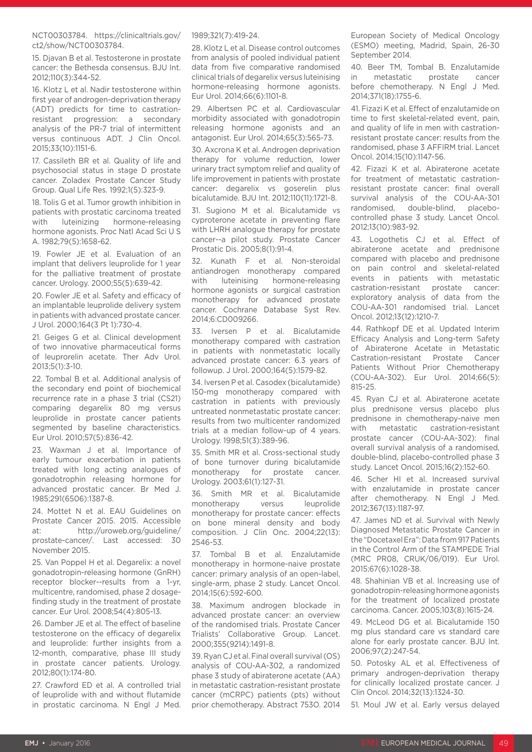NCT00303784. https://clinicaltrials.gov/ ct2/show/NCT00303784.

15. Djavan B et al. Testosterone in prostate cancer: the Bethesda consensus. BJU Int. 2012;110(3):344-52.

16. Klotz L et al. Nadir testosterone within first year of androgen-deprivation therapy (ADT) predicts for time to castrationresistant progression: a secondary analysis of the PR-7 trial of intermittent versus continuous ADT. J Clin Oncol. 2015;33(10):1151-6.

17. Cassileth BR et al. Quality of life and psychosocial status in stage D prostate cancer. Zoladex Prostate Cancer Study Group. Qual Life Res. 1992;1(5):323-9.

18. Tolis G et al. Tumor growth inhibition in patients with prostatic carcinoma treated with luteinizing hormone-releasing hormone agonists. Proc Natl Acad Sci U S A. 1982;79(5):1658-62.

19. Fowler JE et al. Evaluation of an implant that delivers leuprolide for 1 year for the palliative treatment of prostate cancer. Urology. 2000;55(5):639-42.

20. Fowler JE et al. Safety and efficacy of an implantable leuprolide delivery system in patients with advanced prostate cancer. J Urol. 2000;164(3 Pt 1):730-4.

21. Geiges G et al. Clinical development of two innovative pharmaceutical forms of leuprorelin acetate. Ther Adv Urol. 2013;5(1):3-10.

22. Tombal B et al. Additional analysis of the secondary end point of biochemical recurrence rate in a phase 3 trial (CS21) comparing degarelix 80 mg versus leuprolide in prostate cancer patients segmented by baseline characteristics. Eur Urol. 2010;57(5):836-42.

23. Waxman J et al. Importance of early tumour exacerbation in patients treated with long acting analogues of gonadotrophin releasing hormone for advanced prostatic cancer. Br Med J. 1985;291(6506):1387-8.

24. Mottet N et al. EAU Guidelines on Prostate Cancer 2015. 2015. Accessible at: http://uroweb.org/guideline/ prostate-cancer/. Last accessed: 30 November 2015.

25. Van Poppel H et al. Degarelix: a novel gonadotropin-releasing hormone (GnRH) receptor blocker--results from a 1-yr, multicentre, randomised, phase 2 dosagefinding study in the treatment of prostate cancer. Eur Urol. 2008;54(4):805-13.

26. Damber JE et al. The effect of baseline testosterone on the efficacy of degarelix and leuprolide: further insights from a 12-month, comparative, phase III study in prostate cancer patients. Urology. 2012;80(1):174-80.

27. Crawford ED et al. A controlled trial of leuprolide with and without flutamide in prostatic carcinoma. N Engl J Med. 1989;321(7):419-24.

28. Klotz L et al. Disease control outcomes from analysis of pooled individual patient data from five comparative randomised clinical trials of degarelix versus luteinising hormone-releasing hormone agonists. Eur Urol. 2014;66(6):1101-8.

29. Albertsen PC et al. Cardiovascular morbidity associated with gonadotropin releasing hormone agonists and an antagonist. Eur Urol. 2014;65(3):565-73.

30. Axcrona K et al. Androgen deprivation therapy for volume reduction, lower urinary tract symptom relief and quality of life improvement in patients with prostate cancer: degarelix vs goserelin plus bicalutamide. BJU Int. 2012;110(11):1721-8.

31. Sugiono M et al. Bicalutamide vs cyproterone acetate in preventing flare with LHRH analogue therapy for prostate cancer--a pilot study. Prostate Cancer Prostatic Dis. 2005;8(1):91-4.

32. Kunath F et al. Non-steroidal antiandrogen monotherapy compared with luteinising hormone-releasing hormone agonists or surgical castration monotherapy for advanced prostate cancer. Cochrane Database Syst Rev. 2014;6:CD009266.

33. Iversen P et al. Bicalutamide monotherapy compared with castration in patients with nonmetastatic locally advanced prostate cancer: 6.3 years of followup. J Urol. 2000;164(5):1579-82.

34. Iversen P et al. Casodex (bicalutamide) 150-mg monotherapy compared with castration in patients with previously untreated nonmetastatic prostate cancer: results from two multicenter randomized trials at a median follow-up of 4 years. Urology. 1998;51(3):389-96.

35. Smith MR et al. Cross-sectional study of bone turnover during bicalutamide monotherapy for prostate cancer. Urology. 2003;61(1):127-31.

36. Smith MR et al. Bicalutamide monotherapy versus leuprolide monotherapy for prostate cancer: effects on bone mineral density and body composition. J Clin Onc. 2004;22(13): 2546-53.

37. Tombal B et al. Enzalutamide monotherapy in hormone-naive prostate cancer: primary analysis of an open-label, single-arm, phase 2 study. Lancet Oncol. 2014;15(6):592-600.

38. Maximum androgen blockade in advanced prostate cancer: an overview of the randomised trials. Prostate Cancer Trialists' Collaborative Group. Lancet. 2000;355(9214):1491-8.

39. Ryan CJ et al. Final overall survival (OS) analysis of COU-AA-302, a randomized phase 3 study of abiraterone acetate (AA) in metastatic castration-resistant prostate cancer (mCRPC) patients (pts) without prior chemotherapy. Abstract 753O. 2014 European Society of Medical Oncology (ESMO) meeting, Madrid, Spain, 26-30 September 2014.

40. Beer TM, Tombal B. Enzalutamide in metastatic prostate cancer before chemotherapy. N Engl J Med. 2014;371(18):1755-6.

41. Fizazi K et al. Effect of enzalutamide on time to first skeletal-related event, pain, and quality of life in men with castrationresistant prostate cancer: results from the randomised, phase 3 AFFIRM trial. Lancet Oncol. 2014;15(10):1147-56.

42. Fizazi K et al. Abiraterone acetate for treatment of metastatic castrationresistant prostate cancer: final overall survival analysis of the COU-AA-301 randomised, double-blind, placebocontrolled phase 3 study. Lancet Oncol. 2012;13(10):983-92.

43. Logothetis CJ et al. Effect of abiraterone acetate and prednisone compared with placebo and prednisone on pain control and skeletal-related events in patients with metastatic castration-resistant prostate cancer: exploratory analysis of data from the COU-AA-301 randomised trial. Lancet Oncol. 2012;13(12):1210-7.

44. Rathkopf DE et al. Updated Interim Efficacy Analysis and Long-term Safety of Abiraterone Acetate in Metastatic Castration-resistant Prostate Cancer Patients Without Prior Chemotherapy (COU-AA-302). Eur Urol. 2014;66(5): 815-25.

45. Ryan CJ et al. Abiraterone acetate plus prednisone versus placebo plus prednisone in chemotherapy-naive men with metastatic castration-resistant prostate cancer (COU-AA-302): final overall survival analysis of a randomised, double-blind, placebo-controlled phase 3 study. Lancet Oncol. 2015;16(2):152-60.

46. Scher HI et al. Increased survival with enzalutamide in prostate cancer after chemotherapy. N Engl J Med. 2012;367(13):1187-97.

47. James ND et al. Survival with Newly Diagnosed Metastatic Prostate Cancer in the "Docetaxel Era": Data from 917 Patients in the Control Arm of the STAMPEDE Trial (MRC PR08, CRUK/06/019). Eur Urol. 2015;67(6):1028-38.

48. Shahinian VB et al. Increasing use of gonadotropin-releasing hormone agonists for the treatment of localized prostate carcinoma. Cancer. 2005;103(8):1615-24.

49. McLeod DG et al. Bicalutamide 150 mg plus standard care vs standard care alone for early prostate cancer. BJU Int. 2006;97(2):247-54.

50. Potosky AL et al. Effectiveness of primary androgen-deprivation therapy for clinically localized prostate cancer. J Clin Oncol. 2014;32(13):1324-30.

51. Moul JW et al. Early versus delayed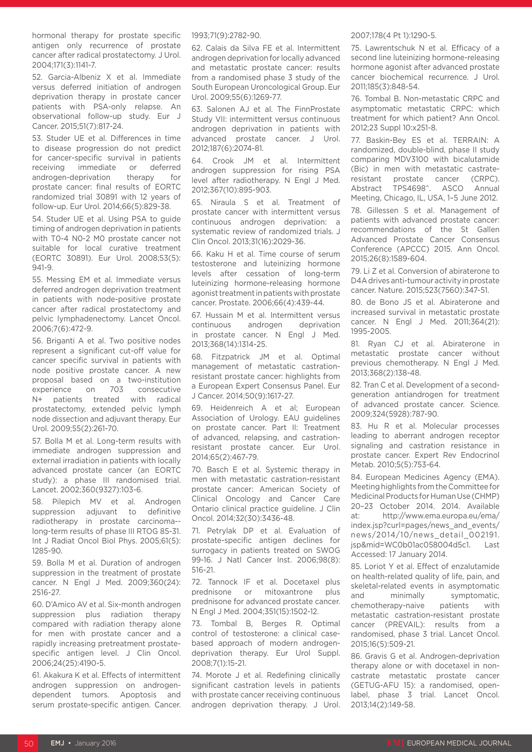hormonal therapy for prostate specific antigen only recurrence of prostate cancer after radical prostatectomy. J Urol. 2004;171(3):1141-7.

52. Garcia-Albeniz X et al. Immediate versus deferred initiation of androgen deprivation therapy in prostate cancer patients with PSA-only relapse. An observational follow-up study. Eur J Cancer. 2015;51(7):817-24.

53. Studer UE et al. Differences in time to disease progression do not predict for cancer-specific survival in patients receiving immediate or deferred androgen-deprivation therapy for prostate cancer: final results of EORTC randomized trial 30891 with 12 years of follow-up. Eur Urol. 2014;66(5):829-38.

54. Studer UE et al. Using PSA to guide timing of androgen deprivation in patients with T0-4 N0-2 M0 prostate cancer not suitable for local curative treatment (EORTC 30891). Eur Urol. 2008;53(5): 941-9.

55. Messing EM et al. Immediate versus deferred androgen deprivation treatment in patients with node-positive prostate cancer after radical prostatectomy and pelvic lymphadenectomy. Lancet Oncol. 2006;7(6):472-9.

56. Briganti A et al. Two positive nodes represent a significant cut-off value for cancer specific survival in patients with node positive prostate cancer. A new proposal based on a two-institution experience on 703 consecutive N+ patients treated with radical prostatectomy, extended pelvic lymph node dissection and adjuvant therapy. Eur Urol. 2009;55(2):261-70.

57. Bolla M et al. Long-term results with immediate androgen suppression and external irradiation in patients with locally advanced prostate cancer (an EORTC study): a phase III randomised trial. Lancet. 2002;360(9327):103-6.

58. Pilepich MV et al. Androgen suppression adjuvant to definitive radiotherapy in prostate carcinoma- long-term results of phase III RTOG 85-31. Int J Radiat Oncol Biol Phys. 2005;61(5): 1285-90.

59. Bolla M et al. Duration of androgen suppression in the treatment of prostate cancer. N Engl J Med. 2009;360(24): 2516-27.

60. D'Amico AV et al. Six-month androgen suppression plus radiation therapy compared with radiation therapy alone for men with prostate cancer and a rapidly increasing pretreatment prostatespecific antigen level. J Clin Oncol. 2006;24(25):4190-5.

61. Akakura K et al. Effects of intermittent androgen suppression on androgendependent tumors. Apoptosis and serum prostate-specific antigen. Cancer. 1993;71(9):2782-90.

62. Calais da Silva FE et al. Intermittent androgen deprivation for locally advanced and metastatic prostate cancer: results from a randomised phase 3 study of the South European Uroncological Group. Eur Urol. 2009;55(6):1269-77.

63. Salonen AJ et al. The FinnProstate Study VII: intermittent versus continuous androgen deprivation in patients with advanced prostate cancer. J Urol. 2012;187(6):2074-81.

64. Crook JM et al. Intermittent androgen suppression for rising PSA level after radiotherapy. N Engl J Med. 2012;367(10):895-903.

65. Niraula S et al. Treatment of prostate cancer with intermittent versus continuous androgen deprivation: a systematic review of randomized trials. J Clin Oncol. 2013;31(16):2029-36.

66. Kaku H et al. Time course of serum testosterone and luteinizing hormone levels after cessation of long-term luteinizing hormone-releasing hormone agonist treatment in patients with prostate cancer. Prostate. 2006;66(4):439-44.

67. Hussain M et al. Intermittent versus continuous androgen deprivation in prostate cancer. N Engl J Med. 2013;368(14):1314-25.

68. Fitzpatrick JM et al. Optimal management of metastatic castrationresistant prostate cancer: highlights from a European Expert Consensus Panel. Eur J Cancer. 2014;50(9):1617-27.

69. Heidenreich A et al; European Association of Urology. EAU guidelines on prostate cancer. Part II: Treatment of advanced, relapsing, and castrationresistant prostate cancer. Eur Urol. 2014;65(2):467-79.

70. Basch E et al. Systemic therapy in men with metastatic castration-resistant prostate cancer: American Society of Clinical Oncology and Cancer Care Ontario clinical practice guideline. J Clin Oncol. 2014;32(30):3436-48.

71. Petrylak DP et al. Evaluation of prostate-specific antigen declines for surrogacy in patients treated on SWOG 99-16. J Natl Cancer Inst. 2006;98(8): 516-21.

72. Tannock IF et al. Docetaxel plus prednisone or mitoxantrone plus prednisone for advanced prostate cancer. N Engl J Med. 2004;351(15):1502-12.

73. Tombal B, Berges R. Optimal control of testosterone: a clinical casebased approach of modern androgendeprivation therapy. Eur Urol Suppl. 2008;7(1):15-21.

74. Morote J et al. Redefining clinically significant castration levels in patients with prostate cancer receiving continuous androgen deprivation therapy. J Urol.

#### 2007;178(4 Pt 1):1290-5.

75. Lawrentschuk N et al. Efficacy of a second line luteinizing hormone-releasing hormone agonist after advanced prostate cancer biochemical recurrence. J Urol. 2011;185(3):848-54.

76. Tombal B. Non-metastatic CRPC and asymptomatic metastatic CRPC: which treatment for which patient? Ann Oncol. 2012;23 Suppl 10:x251-8.

77. Baskin-Bey ES et al. TERRAIN: A randomized, double-blind, phase II study comparing MDV3100 with bicalutamide (Bic) in men with metastatic castrateresistant prostate cancer (CRPC). Abstract TPS4698^. ASCO Annual Meeting, Chicago, IL, USA, 1–5 June 2012.

78. Gillessen S et al. Management of patients with advanced prostate cancer: recommendations of the St Gallen Advanced Prostate Cancer Consensus Conference (APCCC) 2015. Ann Oncol. 2015;26(8):1589-604.

79. Li Z et al. Conversion of abiraterone to D4A drives anti-tumour activity in prostate cancer. Nature. 2015;523(7560):347-51.

80. de Bono JS et al. Abiraterone and increased survival in metastatic prostate cancer. N Engl J Med. 2011;364(21): 1995-2005.

81. Ryan CJ et al. Abiraterone in metastatic prostate cancer without previous chemotherapy. N Engl J Med. 2013;368(2):138-48.

82. Tran C et al. Development of a secondgeneration antiandrogen for treatment of advanced prostate cancer. Science. 2009;324(5928):787-90.

83. Hu R et al. Molecular processes leading to aberrant androgen receptor signaling and castration resistance in prostate cancer. Expert Rev Endocrinol Metab. 2010;5(5):753-64.

84. European Medicines Agency (EMA). Meeting highlights from the Committee for Medicinal Products for Human Use (CHMP) 20–23 October 2014. 2014. Available at: http://www.ema.europa.eu/ema/ index.jsp?curl=pages/news\_and\_events/ news/2014/10/news\_detail\_002191. jsp&mid=WC0b01ac058004d5c1. Last Accessed: 17 January 2014.

85. Loriot Y et al. Effect of enzalutamide on health-related quality of life, pain, and skeletal-related events in asymptomatic and minimally symptomatic, chemotherapy-naive patients with metastatic castration-resistant prostate cancer (PREVAIL): results from a randomised, phase 3 trial. Lancet Oncol. 2015;16(5):509-21.

86. Gravis G et al. Androgen-deprivation therapy alone or with docetaxel in noncastrate metastatic prostate cancer (GETUG-AFU 15): a randomised, openlabel, phase 3 trial. Lancet Oncol. 2013;14(2):149-58.